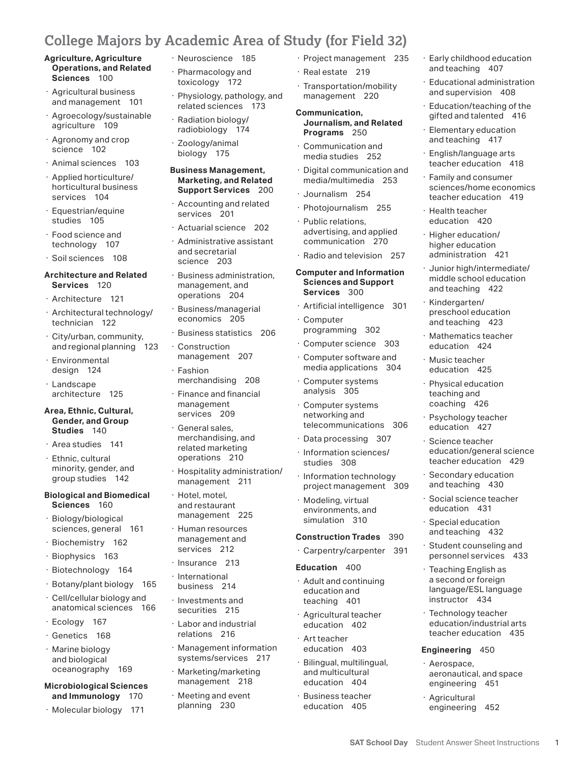# **College Majors by Academic Area of Study (for Field 32)**

- **Operations, and Related** Sciences 100
- Agricultural business<br>and management 101
- 
- 
- 
- 
- 
- · Food science and<br>technology 107
- · Soil sciences 108

## **Architecture and Related** Services 120

- 
- 
- programming <sup>302</sup> · Business statistics <sup>206</sup> · City/urban, community, · Mathematics teacher · Computer science <sup>303</sup> and regional planning 123 · Construction education 424
- 
- 
- Area, Ethnic, Cultural,<br>Gender, and Group Studies 140
- 
- · Ethnic, cultural minority, gender, and<br>group studies 142
- Sciences 160 **Biological and Biomedical** · Hotel, motel, **· Modeling, virtual** · Social science teacher<br> **Sciences** 160 **and restaurant and interest in the environments**, and education 431
- · Biology/biological management 225 simulation 310 · Special education sciences, general 161 · Human resources **and teaching 432**
- 
- 
- 
- 
- · Cell/cellular biology and anatomical sciences 166 · Cell/cellular biology and Investments and teaching 401 instructor 434
- 
- 
- and biological<br>oceanography 169
- **Microbiological Sciences** management <sup>218</sup> education <sup>404</sup> engineering <sup>451</sup>
- · Molecular biology <sup>171</sup> planning 230 education <sup>405</sup> engineering <sup>452</sup>
- 
- · Pharmacology and<br>toxicology 172
- · Physiology, pathology, and<br>related sciences 173
- 
- 

# **Marketing, and Related<br>Support Services** 200

- Accounting and related<br>services 201 horticultural business **Support Services** 200 · Journalism 254 sciences/home economics<br>
Equestrian/equine · Accounting and related · Photojournalism 255 · Health teacher services 201 · Photojournalism 255 · Health teacher
	- · Actuarial science 202
	-
	- management, and<br>operations 204
	-
	- · Business statistics 206
	-
	- design 124 · Fashion media applications 304 education 425
	- Finance and financial<br>management
- Area studies 141 · Area studies 141 · Area studies 141 · Area studies 141 · Area studies 141 · Information sciences/ · Information sciences/ · Ethnic, cultural operations 210 · Information sciences/ · Ethnic, cultural oper
	-
	- $\cdot$  Hotel, motel,<br>and restaurant
	- management and<br>services 212
	-
	-
	-
- · Ecology 167 · Labor and industrial education 402 education/industrial arts
- · Marine biology · Management information education 403 **Engineering** 450
	-
	- Meeting and event<br>planning 230
- **Agriculture, Agriculture** · Neuroscience 185 · Project management 235
	-
	-
- **Journalism, and Related Programs** 250 Operations, and Related<br>
Sciences 100<br>
Agricultural business<br>
and management 101<br>
Agricultural business<br>
Agricultural business<br>
and management 101<br>
Agriculture 109<br>
Agriculture 109<br>
Agriculture 109<br>
Agriculture 109<br>
Agricu
	- Communication and<br>media studies 252
- · Animal sciences 103 **Business Management,** Provide the Communication and **Business Management,** · Digital communication and · Applied horticulture/ **Marketing, and Related** media/multimedia · Family and consumer <sup>253</sup>
	-
	-
	- · Public relations,<br>advertising, and applied
	-

- 
- 
- · Computer science 303
- management <sup>207</sup> · Computer software and · Environmental · Music teacher
	- Computer systems<br>analysis 305
- · Computer systems networking and<br>telecommunications 306 **Area, Ethnic, Cultural,** management · Computer systems coaching 426<br> **Gender, and Group Conserversity in the services and Studies 140** · Ceneral sales, education 427 · General sales, education 427 · General sales, educa
	-
	-
	- minority, gender, and · Hospitality administration/ · Information technology · Secondary education management 211 project management 309 and teaching 430 and teaching 430 and teaching 430 and teaching 430 and teaching 430
	- **Sciences** 160 and restaurant environments, and education 431

- Biochemistry 162 management and services 212<br>
Biophysics 163<br>
Biotechnology 164<br>
Botechnology 164<br>
Biotechnology 164<br>
Biotechnology 165<br>
Biotechnology 165<br>
Biotechnology 165<br>
Biotechnology 165<br>
Biotechnology 165<br>
Language/
- · Agricultural teacher<br>education 402 anatomical sciences <sup>166</sup> securities 215 · Agricultural teacher · Technology teacher
- · Genetics 168 **relations 216** · Art teacher **teacher education 435**
- and biological systems/services 217 · Bilingual, multilingual, and perospace, oceanography 169 · Marketing/marketing and multicultural aeronautical, and space
- **and Immunology** 170 · Meeting and event **· Business teacher** · Agricultural · Business teacher<br>education 405
- · Early childhood education and teaching 407
- 
- · Education/teaching of the<br>gifted and talented 416
- Elementary education and teaching 417
- English/language arts<br>teacher education 418
- · Family and consumer<br>sciences/home economics
- · Health teacher<br>education 420
- higher education<br>administration 421
- middle school education and teaching 422 Food science and<br>
Echnology 107<br>
Echnology 107<br>
Soil science 108<br>
Actuarial science 202<br>
Actuarial science 202<br>
Actuarial science 202<br>
Actuarial science 202<br>
Actuarial science 202<br>
Actuarial science 202<br>
Actuarial science
- preschool education and teaching 423 Architecture 121 operations 204 Services 300 and cooling 122<br>
Architectural technology Business/managerial Preschool education<br>
technician 122 conomics 205 computer and teaching 423
	- Mathematics teacher<br>education 424
	-
- · Physical education<br>teaching and · Landscape merchandising <sup>208</sup> · Computer systems · Physical education analysis 305 architecture <sup>125</sup> · Finance and financial teaching and
	- · Psychology teacher<br>education 427

· Secondary education and teaching 430

· Special education and teaching 432

education/general science<br>teacher education 429

personnel services 433 · Teaching English as a second or foreign<br>language/ESL language

· Technology teacher<br>education/industrial arts

aeronautical, and space<br>engineering 451

**SAT School Day** Student Answer Sheet Instructions 1

· Science teacher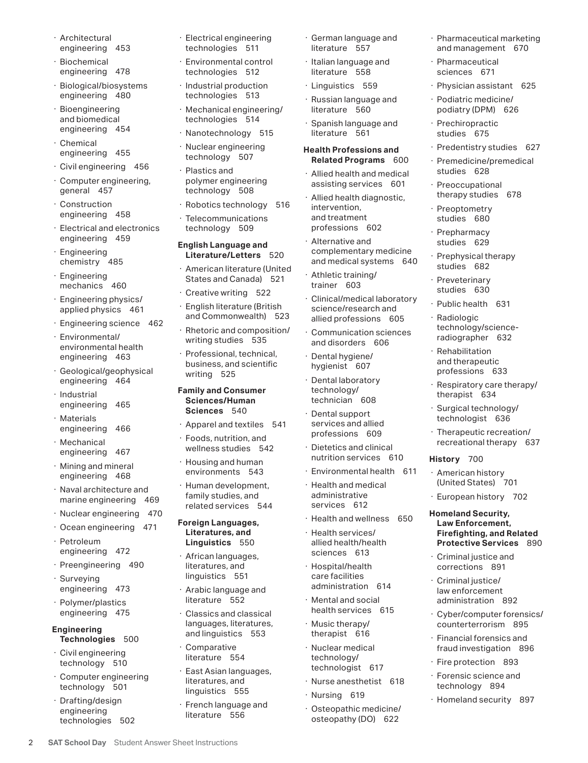- 
- 
- · Biological/biosystems · Industrial production · Linguistics 559 · Physician assistant 625<br>
engineering 480 · technologies 513 · Pussian language and a Podiatric modiaine/
- 
- 
- 
- 
- 
- 
- 
- 
- applied physics 461
- · Engineering science 462
- environmental health<br>engineering 463 Engineering science 462<br>
Environmental/<br>
Environmental/<br>
Environmental/<br>
Environmental/<br>
Environmental/<br>
Environmental/<br>
Environmental/<br>
Environmental/<br>
Environmental/<br>
Environmental/<br>
Environmental/<br>
Environmental/<br>
Envir
- business, and scientific in the hygienist 607 of the distribution of the distribution of the distribution of the distribution of the distribution of the distribution of the distribution of the distributions 633<br>Pendilabora
- 
- 
- 
- · Mining and mineral<br>engineering 468
- 
- 
- 
- 
- 
- linguistics 551 care facilities · Surveying · Criminal justice/ administration <sup>614</sup> engineering <sup>473</sup> · Arabic language and law enforcement
- 

- 
- 

2 **SAT School Day** Student Answer Sheet Instructions

- 
- · Environmental control  $\cdot$  Biochemical  $\cdot$  Environmental control  $\cdot$  Italian language and  $\cdot$  Pharmaceutical engineering 478 technologies 512 literature 558 sciences 671
	-
- Bioengineering · Mechanical engineering/<br>and biomedical both bechnologies 514
	-
	-
	-
	-
	-

- · American literature (United<br>States and Canada) 521
- 
- 
- · Rhetoric and composition/<br>writing studies 535
- · Professional, technical, business, and scientific hygienist 607 and therapeutic<br>Contractions 617 and therapeutic hygienist 607

- 
- wellness studies 542
- 
- family studies, and<br>related services 544 • Naval architecture and Fuman development, in Health and medical (United States) 701<br>marine engineering 469 family studies, and administrative · European history 702<br>marine engineering 469 related services 544 services 61

# **Literatures, and<br>Linguistics** 550 • Nuclear engineering 470<br>• Ocean engineering 471 **Foreign Languages, The Health and wellness 650 Homeland Security,<br>• Petroleum <b>Example Engineering 471** Literatures, and Petroleum **Example 2019** Linguistics 550 and Relat

- literatures, and<br>linguistics 551 engineering <sup>472</sup> sciences <sup>613</sup> · African languages, · Criminal justice and · Preengineering <sup>490</sup> literatures, and · Hospital/health corrections 891
	- · Arabic language and<br>literature 552
- realth services 615 · Cyber/computer forensics/<br>- Cyber/computer forensics/<br>- counterterrorism 895 · Conterter is a setting and conterter is a setting of the Music therapy/ **Engineering** languages, literatures, · Music therapy/ counterterrorism 895<br>**Technologies** 500 · Financial forensics and
	-
- literatures, and<br>linguistics 555 Civil engineering<br>
technology 510<br>
Computer engineering<br>
technology 501<br>
Computer engineering<br>
technology 501<br>
Ext Asian languages,<br>
literatures, and<br>
linguistics 555<br>
Computer engineering<br>
technology 501<br>
Fire protection
	- · French language and<br>literature 556
- · German language and<br>literature 557
- 
- 
- engineering <sup>480</sup> technologies <sup>513</sup> · Russian language and · Podiatric medicine/

- · Allied health and medical assisting services 601
- · Allied health diagnostic,<br>intervention. and treatment<br>professions 602 Chemical<br>
engineering 455<br>
Civil engineering 456<br>
Civil engineering 456<br>
Civil engineering 456<br>
Construction<br>
general 457<br>
Construction<br>
Construction<br>
engineering 458<br>
Construction<br>
Elecommunications<br>
Telecommunications<br>
T
- Alternative and<br>complementary medicine Exectrical and electronics technology 509 protessions 602 Prepharmacy<br>
Engineering English Language and Electronics Engineering Chemistry 485<br>
Engineering Studies 629<br>
Engineering Studies 460<br>
Engineering States and Canada
	-
	- · Clinical/medical laboratory science/research and<br>allied professions 605
	-
	-
	-
- · Dental support services and allied<br>professions 609 engineering 464<br>
Industrial<br>
engineering 465<br>
Materials<br>
engineering 466<br>
Materials<br>
engineering 466<br>
Materials<br>
Materials<br>
engineering 466<br>
Materials<br>
Einces 540<br>
Apparel and textiles 541<br>
Foods, nutrition, and<br>
Foods, nu
	- · Dietetics and clinical<br>nutrition services 610
	-
	- · Health and medical<br>administrative
	-
	-
	- care facilities<br>administration 614
- Mental and social<br>health services · Polymer/plastics literature 552 · Mental and social administration 892
	-
	- · Nuclear medical<br>technology/
	-
	-
	-
- · Architectural · Electrical engineering · German language and · Pharmaceutical marketing<br>
engineering 453 · technologies 511 · literature 557 · and management 670 and management 670
	-
	-
	-
	- and biomedical technologies <sup>514</sup> · Spanish language and · Prechiropractic engineering <sup>454</sup> · Nanotechnology 515 literature 561 studies 675
		- · Predentistry studies 627
		-
		-
		-
		-
		- · Prephysical therapy<br>studies 682
		-
		- · Public health 631
		-
		-

History 700

· Respiratory care therapy/<br>therapist 634

· European history 702

**Firefighting, and Related<br>Protective Services** 890

· Financial forensics and<br>fraud investigation 896

· Forensic science and<br>technology 894